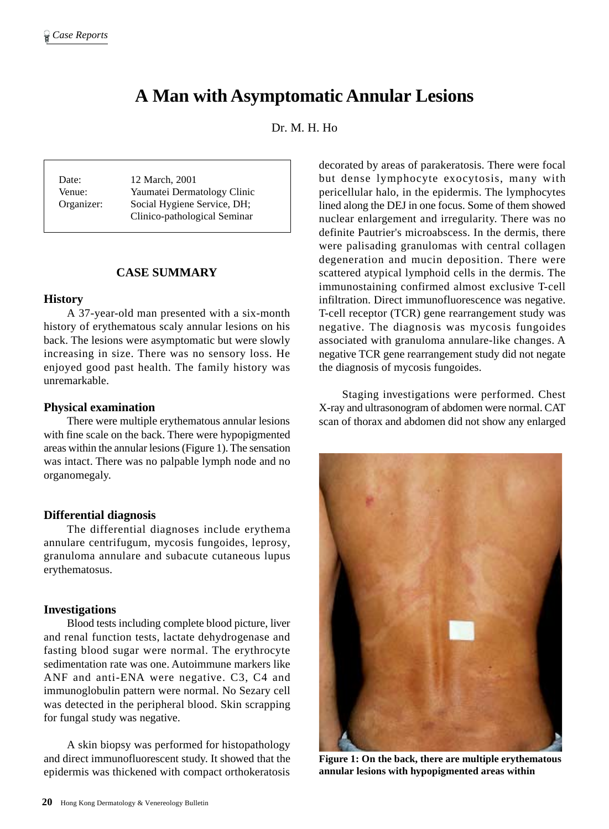# **A Man with Asymptomatic Annular Lesions**

Dr. M. H. Ho

Date: 12 March, 2001 Venue: Yaumatei Dermatology Clinic Organizer: Social Hygiene Service, DH; Clinico-pathological Seminar

# **CASE SUMMARY**

#### **History**

A 37-year-old man presented with a six-month history of erythematous scaly annular lesions on his back. The lesions were asymptomatic but were slowly increasing in size. There was no sensory loss. He enjoyed good past health. The family history was unremarkable.

### **Physical examination**

There were multiple erythematous annular lesions with fine scale on the back. There were hypopigmented areas within the annular lesions (Figure 1). The sensation was intact. There was no palpable lymph node and no organomegaly.

#### **Differential diagnosis**

The differential diagnoses include erythema annulare centrifugum, mycosis fungoides, leprosy, granuloma annulare and subacute cutaneous lupus erythematosus.

### **Investigations**

Blood tests including complete blood picture, liver and renal function tests, lactate dehydrogenase and fasting blood sugar were normal. The erythrocyte sedimentation rate was one. Autoimmune markers like ANF and anti-ENA were negative. C3, C4 and immunoglobulin pattern were normal. No Sezary cell was detected in the peripheral blood. Skin scrapping for fungal study was negative.

A skin biopsy was performed for histopathology and direct immunofluorescent study. It showed that the epidermis was thickened with compact orthokeratosis

decorated by areas of parakeratosis. There were focal but dense lymphocyte exocytosis, many with pericellular halo, in the epidermis. The lymphocytes lined along the DEJ in one focus. Some of them showed nuclear enlargement and irregularity. There was no definite Pautrier's microabscess. In the dermis, there were palisading granulomas with central collagen degeneration and mucin deposition. There were scattered atypical lymphoid cells in the dermis. The immunostaining confirmed almost exclusive T-cell infiltration. Direct immunofluorescence was negative. T-cell receptor (TCR) gene rearrangement study was negative. The diagnosis was mycosis fungoides associated with granuloma annulare-like changes. A negative TCR gene rearrangement study did not negate the diagnosis of mycosis fungoides.

Staging investigations were performed. Chest X-ray and ultrasonogram of abdomen were normal. CAT scan of thorax and abdomen did not show any enlarged



**Figure 1: On the back, there are multiple erythematous annular lesions with hypopigmented areas within**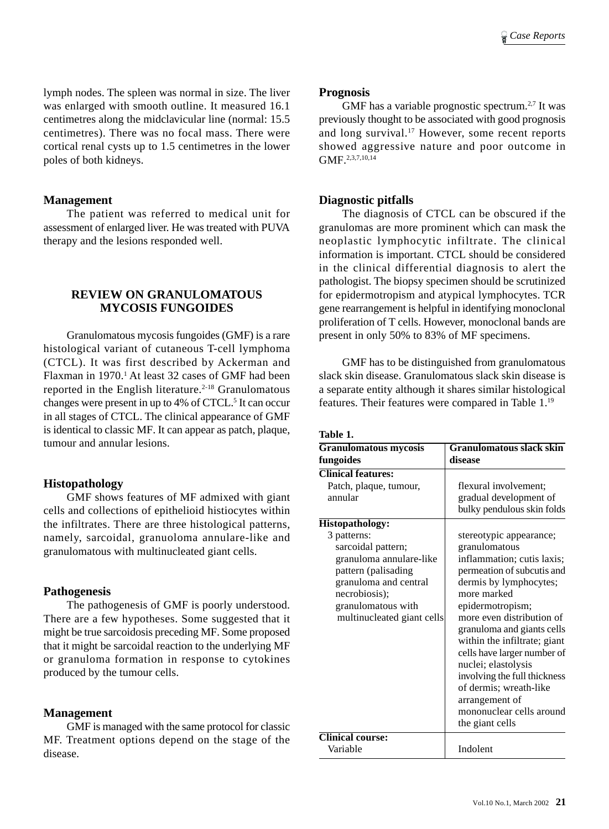lymph nodes. The spleen was normal in size. The liver was enlarged with smooth outline. It measured 16.1 centimetres along the midclavicular line (normal: 15.5 centimetres). There was no focal mass. There were cortical renal cysts up to 1.5 centimetres in the lower poles of both kidneys.

## **Management**

The patient was referred to medical unit for assessment of enlarged liver. He was treated with PUVA therapy and the lesions responded well.

# **REVIEW ON GRANULOMATOUS MYCOSIS FUNGOIDES**

Granulomatous mycosis fungoides (GMF) is a rare histological variant of cutaneous T-cell lymphoma (CTCL). It was first described by Ackerman and Flaxman in 1970.<sup>1</sup> At least 32 cases of GMF had been reported in the English literature.<sup> $2-18$ </sup> Granulomatous changes were present in up to 4% of CTCL.<sup>5</sup> It can occur in all stages of CTCL. The clinical appearance of GMF is identical to classic MF. It can appear as patch, plaque, tumour and annular lesions.

# **Histopathology**

GMF shows features of MF admixed with giant cells and collections of epithelioid histiocytes within the infiltrates. There are three histological patterns, namely, sarcoidal, granuoloma annulare-like and granulomatous with multinucleated giant cells.

### **Pathogenesis**

The pathogenesis of GMF is poorly understood. There are a few hypotheses. Some suggested that it might be true sarcoidosis preceding MF. Some proposed that it might be sarcoidal reaction to the underlying MF or granuloma formation in response to cytokines produced by the tumour cells.

# **Management**

GMF is managed with the same protocol for classic MF. Treatment options depend on the stage of the disease.

### **Prognosis**

GMF has a variable prognostic spectrum.<sup>2,7</sup> It was previously thought to be associated with good prognosis and long survival.<sup>17</sup> However, some recent reports showed aggressive nature and poor outcome in GMF.2,3,7,10,14

# **Diagnostic pitfalls**

The diagnosis of CTCL can be obscured if the granulomas are more prominent which can mask the neoplastic lymphocytic infiltrate. The clinical information is important. CTCL should be considered in the clinical differential diagnosis to alert the pathologist. The biopsy specimen should be scrutinized for epidermotropism and atypical lymphocytes. TCR gene rearrangement is helpful in identifying monoclonal proliferation of T cells. However, monoclonal bands are present in only 50% to 83% of MF specimens.

GMF has to be distinguished from granulomatous slack skin disease. Granulomatous slack skin disease is a separate entity although it shares similar histological features. Their features were compared in Table 1.19

| Table |  |
|-------|--|
|-------|--|

| <b>Granulomatous mycosis</b> | <b>Granulomatous slack skin</b> |
|------------------------------|---------------------------------|
| fungoides                    | disease                         |
| <b>Clinical features:</b>    |                                 |
| Patch, plaque, tumour,       | flexural involvement;           |
| annular                      | gradual development of          |
|                              | bulky pendulous skin folds      |
| Histopathology:              |                                 |
| 3 patterns:                  | stereotypic appearance;         |
| sarcoidal pattern;           | granulomatous                   |
| granuloma annulare-like      | inflammation; cutis laxis;      |
| pattern (palisading          | permeation of subcutis and      |
| granuloma and central        | dermis by lymphocytes;          |
| necrobiosis);                | more marked                     |
| granulomatous with           | epidermotropism;                |
| multinucleated giant cells   | more even distribution of       |
|                              | granuloma and giants cells      |
|                              | within the infiltrate; giant    |
|                              | cells have larger number of     |
|                              | nuclei; elastolysis             |
|                              | involving the full thickness    |
|                              | of dermis; wreath-like          |
|                              | arrangement of                  |
|                              | mononuclear cells around        |
|                              | the giant cells                 |
| <b>Clinical course:</b>      |                                 |
| Variable                     | Indolent                        |